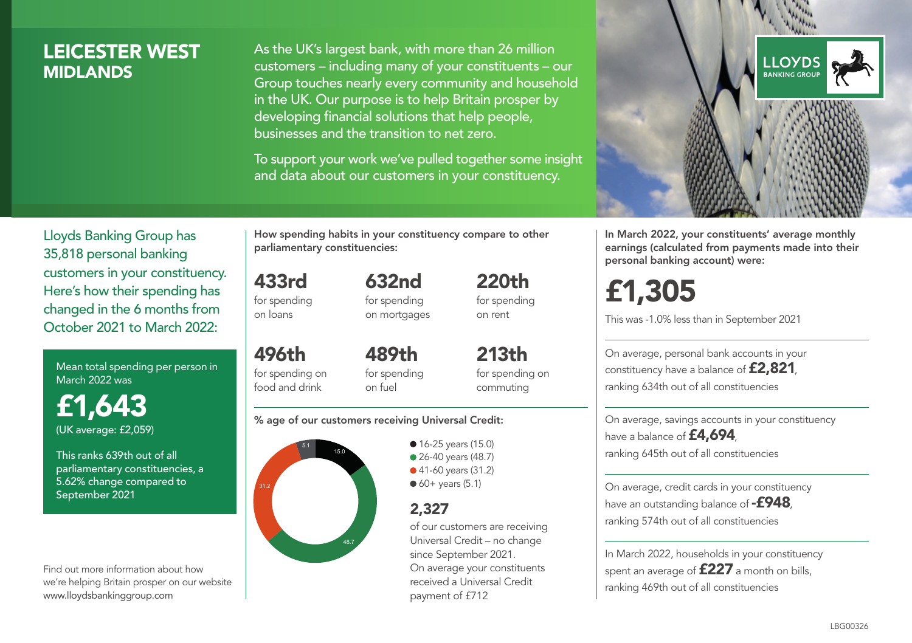### LEICESTER WEST **MIDI ANDS**

As the UK's largest bank, with more than 26 million customers – including many of your constituents – our Group touches nearly every community and household in the UK. Our purpose is to help Britain prosper by developing financial solutions that help people, businesses and the transition to net zero.

To support your work we've pulled together some insight and data about our customers in your constituency.



In March 2022, your constituents' average monthly earnings (calculated from payments made into their personal banking account) were:

# £1,305

This was -1.0% less than in September 2021

On average, personal bank accounts in your constituency have a balance of £2,821, ranking 634th out of all constituencies

On average, savings accounts in your constituency have a balance of **£4,694** ranking 645th out of all constituencies

On average, credit cards in your constituency have an outstanding balance of **-£948** ranking 574th out of all constituencies

In March 2022, households in your constituency spent an average of £227 a month on bills, ranking 469th out of all constituencies

Lloyds Banking Group has 35,818 personal banking customers in your constituency. Here's how their spending has changed in the 6 months from October 2021 to March 2022:

Mean total spending per person in March 2022 was

£1,643 (UK average: £2,059)

This ranks 639th out of all parliamentary constituencies, a 5.62% change compared to September 2021

Find out more information about how we're helping Britain prosper on our website www.lloydsbankinggroup.com

How spending habits in your constituency compare to other parliamentary constituencies:

433rd for spending on loans 632nd

496th

for spending on mortgages 220th for spending on rent

for spending on food and drink 489th for spending on fuel

213th for spending on commuting

#### % age of our customers receiving Universal Credit:



**16-25 years (15.0)** ● 26-40 years (48.7) ● 41-60 years (31.2)  $60+$  years (5.1)

### 2,327

of our customers are receiving Universal Credit – no change since September 2021. On average your constituents received a Universal Credit payment of £712